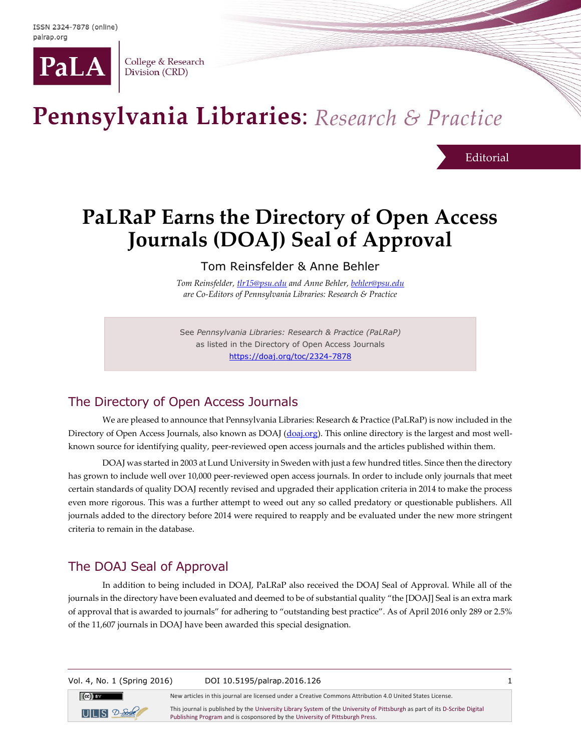

College & Research Division (CRD)

# Pennsylvania Libraries: Research & Practice

**Editorial** 

## **PaLRaP Earns the Directory of Open Access Journals (DOAJ) Seal of Approval**

Tom Reinsfelder & Anne Behler

*Tom Reinsfelder, [tlr15@psu.edu](mailto:tlr15@psu.edu) and Anne Behler, [behler@psu.edu](mailto:behler@psu.edu) are Co-Editors of Pennsylvania Libraries: Research & Practice*

See *Pennsylvania Libraries: Research & Practice (PaLRaP)* as listed in the Directory of Open Access Journals <https://doaj.org/toc/2324-7878>

#### The Directory of Open Access Journals

We are pleased to announce that Pennsylvania Libraries: Research & Practice (PaLRaP) is now included in the Directory of Open Access Journals, also known as DOAJ [\(doaj.org\)](http://www.doaj.org/). This online directory is the largest and most wellknown source for identifying quality, peer-reviewed open access journals and the articles published within them.

DOAJ was started in 2003 at Lund University in Sweden with just a few hundred titles. Since then the directory has grown to include well over 10,000 peer-reviewed open access journals. In order to include only journals that meet certain standards of quality DOAJ recently revised and upgraded their application criteria in 2014 to make the process even more rigorous. This was a further attempt to weed out any so called predatory or questionable publishers. All journals added to the directory before 2014 were required to reapply and be evaluated under the new more stringent criteria to remain in the database.

### The DOAJ Seal of Approval

In addition to being included in DOAJ, PaLRaP also received the DOAJ Seal of Approval. While all of the journals in the directory have been evaluated and deemed to be of substantial quality "the [DOAJ] Seal is an extra mark of approval that is awarded to journals" for adhering to "outstanding best practice". As of April 2016 only 289 or 2.5% of the 11,607 journals in DOAJ have been awarded this special designation.

Vol. 4, No. 1 (Spring 2016) DOI 10.5195/palrap.2016.126 1

New articles in this journal are licensed under a Creative Commons Attribution 4.0 United States License.

 $UILIS$   $2 S$  $-$ 

 $(cc)$  BY

This journal is published by th[e University Library System](http://www.library.pitt.edu/) of th[e University of Pittsburgh](http://www.pitt.edu/) as part of it[s D-Scribe Digital](http://www.library.pitt.edu/d-scribe-digital-collections)  [Publishing Program](http://www.library.pitt.edu/d-scribe-digital-collections) and is cosponsored by th[e University of Pittsburgh Press.](http://www.upress.pitt.edu/)